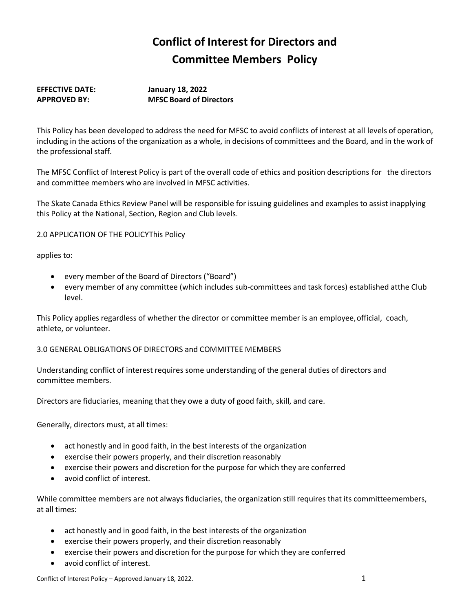# **Conflict of Interest for Directors and Committee Members Policy**

## **EFFECTIVE DATE: January 18, 2022 APPROVED BY: MFSC Board of Directors**

This Policy has been developed to address the need for MFSC to avoid conflicts of interest at all levels of operation, including in the actions of the organization as a whole, in decisions of committees and the Board, and in the work of the professional staff.

The MFSC Conflict of Interest Policy is part of the overall code of ethics and position descriptions for the directors and committee members who are involved in MFSC activities.

The Skate Canada Ethics Review Panel will be responsible for issuing guidelines and examples to assist inapplying this Policy at the National, Section, Region and Club levels.

2.0 APPLICATION OF THE POLICYThis Policy

applies to:

- every member of the Board of Directors ("Board")
- every member of any committee (which includes sub-committees and task forces) established atthe Club level.

This Policy applies regardless of whether the director or committee member is an employee, official, coach, athlete, or volunteer.

## 3.0 GENERAL OBLIGATIONS OF DIRECTORS and COMMITTEE MEMBERS

Understanding conflict of interest requires some understanding of the general duties of directors and committee members.

Directors are fiduciaries, meaning that they owe a duty of good faith, skill, and care.

Generally, directors must, at all times:

- act honestly and in good faith, in the best interests of the organization
- exercise their powers properly, and their discretion reasonably
- exercise their powers and discretion for the purpose for which they are conferred
- avoid conflict of interest.

While committee members are not always fiduciaries, the organization still requires that its committeemembers, at all times:

- act honestly and in good faith, in the best interests of the organization
- exercise their powers properly, and their discretion reasonably
- exercise their powers and discretion for the purpose for which they are conferred
- avoid conflict of interest.

Conflict of Interest Policy – Approved January 18, 2022. 1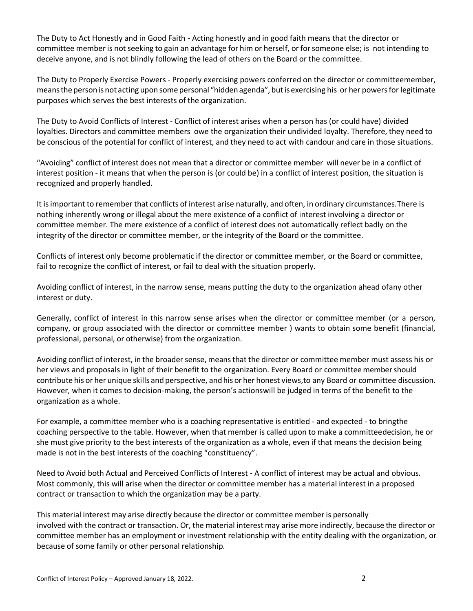The Duty to Act Honestly and in Good Faith - Acting honestly and in good faith means that the director or committee member is not seeking to gain an advantage for him or herself, or for someone else; is not intending to deceive anyone, and is not blindly following the lead of others on the Board or the committee.

The Duty to Properly Exercise Powers - Properly exercising powers conferred on the director or committeemember, means the person is not acting upon some personal "hidden agenda", but is exercising his or her powers for legitimate purposes which serves the best interests of the organization.

The Duty to Avoid Conflicts of Interest - Conflict of interest arises when a person has (or could have) divided loyalties. Directors and committee members owe the organization their undivided loyalty. Therefore, they need to be conscious of the potential for conflict of interest, and they need to act with candour and care in those situations.

"Avoiding" conflict of interest does not mean that a director or committee member will never be in a conflict of interest position - it means that when the person is (or could be) in a conflict of interest position, the situation is recognized and properly handled.

It isimportant to remember that conflicts of interest arise naturally, and often, in ordinary circumstances.There is nothing inherently wrong or illegal about the mere existence of a conflict of interest involving a director or committee member. The mere existence of a conflict of interest does not automatically reflect badly on the integrity of the director or committee member, or the integrity of the Board or the committee.

Conflicts of interest only become problematic if the director or committee member, or the Board or committee, fail to recognize the conflict of interest, or fail to deal with the situation properly.

Avoiding conflict of interest, in the narrow sense, means putting the duty to the organization ahead ofany other interest or duty.

Generally, conflict of interest in this narrow sense arises when the director or committee member (or a person, company, or group associated with the director or committee member ) wants to obtain some benefit (financial, professional, personal, or otherwise) from the organization.

Avoiding conflict of interest, in the broader sense, meansthat the director or committee member must assess his or her views and proposals in light of their benefit to the organization. Every Board or committee membershould contribute his or her unique skills and perspective, andhis or her honest views,to any Board or committee discussion. However, when it comes to decision-making, the person's actionswill be judged in terms of the benefit to the organization as a whole.

For example, a committee member who is a coaching representative is entitled - and expected - to bringthe coaching perspective to the table. However, when that member is called upon to make a committeedecision, he or she must give priority to the best interests of the organization as a whole, even if that means the decision being made is not in the best interests of the coaching "constituency".

Need to Avoid both Actual and Perceived Conflicts of Interest - A conflict of interest may be actual and obvious. Most commonly, this will arise when the director or committee member has a material interest in a proposed contract or transaction to which the organization may be a party.

This material interest may arise directly because the director or committee member is personally involved with the contract or transaction. Or, the material interest may arise more indirectly, because the director or committee member has an employment or investment relationship with the entity dealing with the organization, or because of some family or other personal relationship.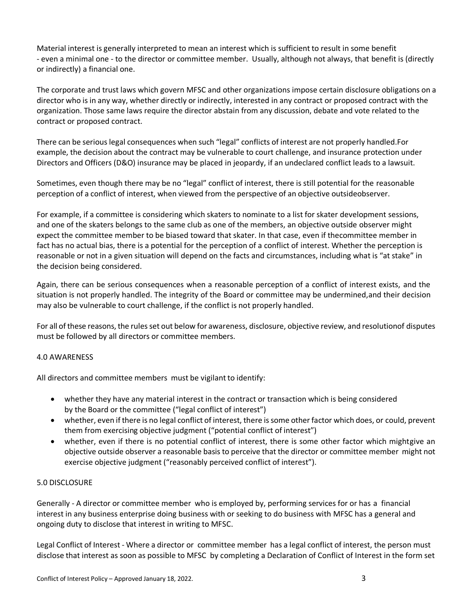Material interest is generally interpreted to mean an interest which is sufficient to result in some benefit - even a minimal one - to the director or committee member. Usually, although not always, that benefit is (directly or indirectly) a financial one.

The corporate and trust laws which govern MFSC and other organizations impose certain disclosure obligations on a director who is in any way, whether directly or indirectly, interested in any contract or proposed contract with the organization. Those same laws require the director abstain from any discussion, debate and vote related to the contract or proposed contract.

There can be serious legal consequences when such "legal" conflicts of interest are not properly handled.For example, the decision about the contract may be vulnerable to court challenge, and insurance protection under Directors and Officers (D&O) insurance may be placed in jeopardy, if an undeclared conflict leads to a lawsuit.

Sometimes, even though there may be no "legal" conflict of interest, there is still potential for the reasonable perception of a conflict of interest, when viewed from the perspective of an objective outsideobserver.

For example, if a committee is considering which skaters to nominate to a list for skater development sessions, and one of the skaters belongs to the same club as one of the members, an objective outside observer might expect the committee member to be biased toward that skater. In that case, even if thecommittee member in fact has no actual bias, there is a potential for the perception of a conflict of interest. Whether the perception is reasonable or not in a given situation will depend on the facts and circumstances, including what is "at stake" in the decision being considered.

Again, there can be serious consequences when a reasonable perception of a conflict of interest exists, and the situation is not properly handled. The integrity of the Board or committee may be undermined,and their decision may also be vulnerable to court challenge, if the conflict is not properly handled.

For all of these reasons, the rules set out below for awareness, disclosure, objective review, and resolutionof disputes must be followed by all directors or committee members.

#### 4.0 AWARENESS

All directors and committee members must be vigilant to identify:

- whether they have any material interest in the contract or transaction which is being considered by the Board or the committee ("legal conflict of interest")
- whether, even if there is no legal conflict of interest, there is some other factor which does, or could, prevent them from exercising objective judgment ("potential conflict of interest")
- whether, even if there is no potential conflict of interest, there is some other factor which mightgive an objective outside observer a reasonable basis to perceive that the director or committee member might not exercise objective judgment ("reasonably perceived conflict of interest").

#### 5.0 DISCLOSURE

Generally - A director or committee member who is employed by, performing services for or has a financial interest in any business enterprise doing business with or seeking to do business with MFSC has a general and ongoing duty to disclose that interest in writing to MFSC.

Legal Conflict of Interest - Where a director or committee member has a legal conflict of interest, the person must disclose that interest as soon as possible to MFSC by completing a Declaration of Conflict of Interest in the form set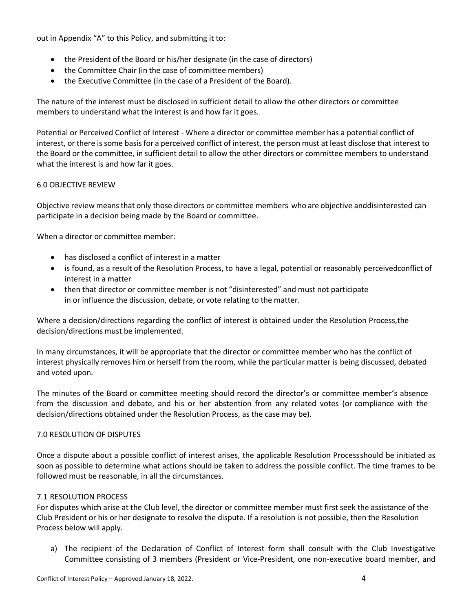out in Appendix "A" to this Policy, and submitting it to:

- the President of the Board or his/her designate (in the case of directors)
- the Committee Chair (in the case of committee members)
- the Executive Committee (in the case of a President of the Board).

The nature of the interest must be disclosed in sufficient detail to allow the other directors or committee members to understand what the interest is and how far it goes.

Potential or Perceived Conflict of Interest - Where a director or committee member has a potential conflict of interest, or there is some basis for a perceived conflict of interest, the person must at least disclose that interest to the Board or the committee, in sufficient detail to allow the other directors or committee members to understand what the interest is and how far it goes.

#### 6.0 OBJECTIVE REVIEW

Objective review meansthat only those directors or committee members who are objective anddisinterested can participate in a decision being made by the Board or committee.

When a director or committee member:

- has disclosed a conflict of interest in a matter
- is found, as a result of the Resolution Process, to have a legal, potential or reasonably perceivedconflict of interest in a matter
- then that director or committee member is not "disinterested" and must not participate in or influence the discussion, debate, or vote relating to the matter.

Where a decision/directions regarding the conflict of interest is obtained under the Resolution Process,the decision/directions must be implemented.

In many circumstances, it will be appropriate that the director or committee member who has the conflict of interest physically removes him or herself from the room, while the particular matter is being discussed, debated and voted upon.

The minutes of the Board or committee meeting should record the director's or committee member's absence from the discussion and debate, and his or her abstention from any related votes (or compliance with the decision/directions obtained under the Resolution Process, as the case may be).

## 7.0 RESOLUTION OF DISPUTES

Once a dispute about a possible conflict of interest arises, the applicable Resolution Process should be initiated as soon as possible to determine what actions should be taken to address the possible conflict. The time frames to be followed must be reasonable, in all the circumstances.

#### 7.1 RESOLUTION PROCESS

For disputes which arise at the Club level, the director or committee member must first seek the assistance of the Club President or his or her designate to resolve the dispute. If a resolution is not possible, then the Resolution Process below will apply.

a) The recipient of the Declaration of Conflict of Interest form shall consult with the Club Investigative Committee consisting of 3 members (President or Vice-President, one non-executive board member, and